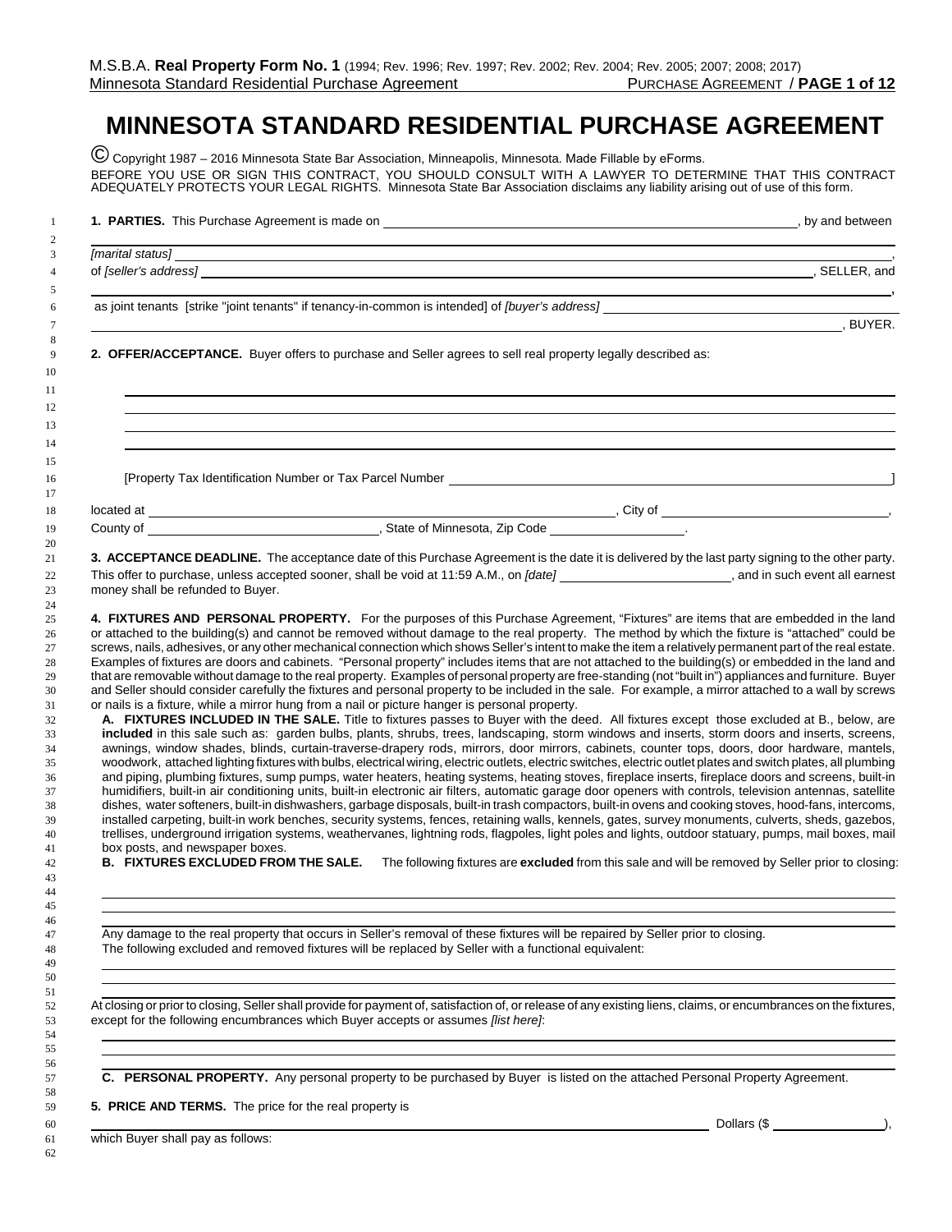## **MINNESOTA STANDARD RESIDENTIAL PURCHASE AGREEMENT**

© Copyright 1987 – 2016 Minnesota State Bar Association, Minneapolis, Minnesota. Made Fillable b[y eForms.](https://eforms.com) BEFORE YOU USE OR SIGN THIS CONTRACT, YOU SHOULD CONSULT WITH A LAWYER TO DETERMINE THAT THIS CONTRACT ADEQUATELY PROTECTS YOUR LEGAL RIGHTS. Minnesota State Bar Association disclaims any liability arising out of use of this form.

|                                   |                                                                                                             | 1. PARTIES. This Purchase Agreement is made on <b>example and a set of the set of the set of the set of the set of the set of the set of the set of the set of the set of the set of the set of the set of the set of the set of</b>                                                                             |
|-----------------------------------|-------------------------------------------------------------------------------------------------------------|------------------------------------------------------------------------------------------------------------------------------------------------------------------------------------------------------------------------------------------------------------------------------------------------------------------|
|                                   |                                                                                                             | and the control of the control of the control of the control of the control of the control of the control of the                                                                                                                                                                                                 |
|                                   |                                                                                                             |                                                                                                                                                                                                                                                                                                                  |
|                                   |                                                                                                             |                                                                                                                                                                                                                                                                                                                  |
|                                   |                                                                                                             |                                                                                                                                                                                                                                                                                                                  |
|                                   |                                                                                                             | $\overline{\phantom{a}}$ , BUYER.                                                                                                                                                                                                                                                                                |
|                                   | 2. OFFER/ACCEPTANCE. Buyer offers to purchase and Seller agrees to sell real property legally described as: |                                                                                                                                                                                                                                                                                                                  |
|                                   |                                                                                                             |                                                                                                                                                                                                                                                                                                                  |
|                                   |                                                                                                             |                                                                                                                                                                                                                                                                                                                  |
|                                   |                                                                                                             |                                                                                                                                                                                                                                                                                                                  |
|                                   |                                                                                                             |                                                                                                                                                                                                                                                                                                                  |
|                                   |                                                                                                             |                                                                                                                                                                                                                                                                                                                  |
|                                   |                                                                                                             |                                                                                                                                                                                                                                                                                                                  |
|                                   |                                                                                                             |                                                                                                                                                                                                                                                                                                                  |
|                                   |                                                                                                             | 3. ACCEPTANCE DEADLINE. The acceptance date of this Purchase Agreement is the date it is delivered by the last party signing to the other party.                                                                                                                                                                 |
|                                   |                                                                                                             | This offer to purchase, unless accepted sooner, shall be void at 11:59 A.M., on [date] _______________________, and in such event all earnest                                                                                                                                                                    |
| money shall be refunded to Buyer. |                                                                                                             |                                                                                                                                                                                                                                                                                                                  |
|                                   |                                                                                                             |                                                                                                                                                                                                                                                                                                                  |
|                                   |                                                                                                             | 4. FIXTURES AND PERSONAL PROPERTY. For the purposes of this Purchase Agreement, "Fixtures" are items that are embedded in the land                                                                                                                                                                               |
|                                   |                                                                                                             | or attached to the building(s) and cannot be removed without damage to the real property. The method by which the fixture is "attached" could be                                                                                                                                                                 |
|                                   |                                                                                                             | screws, nails, adhesives, or any other mechanical connection which shows Seller's intent to make the item a relatively permanent part of the real estate.                                                                                                                                                        |
|                                   |                                                                                                             | Examples of fixtures are doors and cabinets. "Personal property" includes items that are not attached to the building(s) or embedded in the land and<br>that are removable without damage to the real property. Examples of personal property are free-standing (not "built in") appliances and furniture. Buyer |
|                                   |                                                                                                             | and Seller should consider carefully the fixtures and personal property to be included in the sale. For example, a mirror attached to a wall by screws                                                                                                                                                           |
|                                   | or nails is a fixture, while a mirror hung from a nail or picture hanger is personal property.              |                                                                                                                                                                                                                                                                                                                  |
|                                   |                                                                                                             | A. FIXTURES INCLUDED IN THE SALE. Title to fixtures passes to Buyer with the deed. All fixtures except those excluded at B., below, are                                                                                                                                                                          |
|                                   |                                                                                                             | included in this sale such as: garden bulbs, plants, shrubs, trees, landscaping, storm windows and inserts, storm doors and inserts, screens,                                                                                                                                                                    |
|                                   |                                                                                                             | awnings, window shades, blinds, curtain-traverse-drapery rods, mirrors, door mirrors, cabinets, counter tops, doors, door hardware, mantels,                                                                                                                                                                     |
|                                   |                                                                                                             | woodwork, attached lighting fixtures with bulbs, electrical wiring, electric outlets, electric switches, electric outlet plates and switch plates, all plumbing                                                                                                                                                  |
|                                   |                                                                                                             | and piping, plumbing fixtures, sump pumps, water heaters, heating systems, heating stoves, fireplace inserts, fireplace doors and screens, built-in                                                                                                                                                              |
|                                   |                                                                                                             | humidifiers, built-in air conditioning units, built-in electronic air filters, automatic garage door openers with controls, television antennas, satellite                                                                                                                                                       |
|                                   |                                                                                                             | dishes, water softeners, built-in dishwashers, garbage disposals, built-in trash compactors, built-in ovens and cooking stoves, hood-fans, intercoms,                                                                                                                                                            |
|                                   |                                                                                                             | installed carpeting, built-in work benches, security systems, fences, retaining walls, kennels, gates, survey monuments, culverts, sheds, gazebos,                                                                                                                                                               |
|                                   |                                                                                                             | trellises, underground irrigation systems, weathervanes, lightning rods, flagpoles, light poles and lights, outdoor statuary, pumps, mail boxes, mail                                                                                                                                                            |
|                                   | box posts, and newspaper boxes.                                                                             |                                                                                                                                                                                                                                                                                                                  |
|                                   |                                                                                                             | B. FIXTURES EXCLUDED FROM THE SALE. The following fixtures are excluded from this sale and will be removed by Seller prior to closing:                                                                                                                                                                           |
|                                   |                                                                                                             |                                                                                                                                                                                                                                                                                                                  |
|                                   |                                                                                                             |                                                                                                                                                                                                                                                                                                                  |

 Any damage to the real property that occurs in Seller's removal of these fixtures will be repaired by Seller prior to closing. The following excluded and removed fixtures will be replaced by Seller with a functional equivalent:

 At closing or prior to closing, Seller shall provide for payment of, satisfaction of, or release of any existing liens, claims, or encumbrances on the fixtures, except for the following encumbrances which Buyer accepts or assumes *[list here]*:

**C. PERSONAL PROPERTY.** Any personal property to be purchased by Buyer is listed on the attached Personal Property Agreement.

**5. PRICE AND TERMS.** The price for the real property is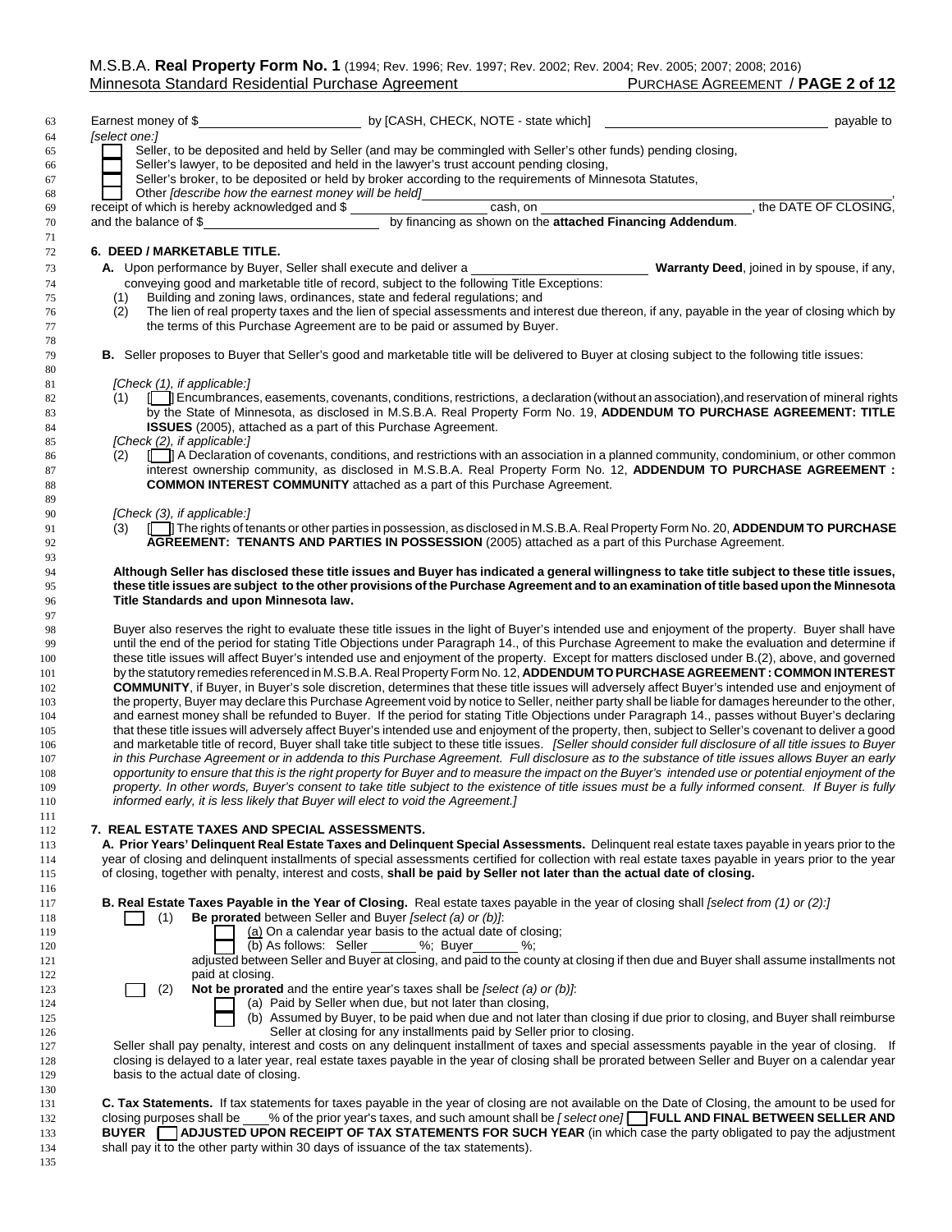$\begin{array}{c} 111 \\ 112 \end{array}$ 

| 63         | Earnest money of \$                                              | by [CASH, CHECK, NOTE - state which]                                                                                                                                                                                                                                                         | payable to                                                                                                                             |
|------------|------------------------------------------------------------------|----------------------------------------------------------------------------------------------------------------------------------------------------------------------------------------------------------------------------------------------------------------------------------------------|----------------------------------------------------------------------------------------------------------------------------------------|
| 64         | [select one:]                                                    |                                                                                                                                                                                                                                                                                              |                                                                                                                                        |
| 65         |                                                                  | Seller, to be deposited and held by Seller (and may be commingled with Seller's other funds) pending closing,                                                                                                                                                                                |                                                                                                                                        |
| 66         |                                                                  | Seller's lawyer, to be deposited and held in the lawyer's trust account pending closing.                                                                                                                                                                                                     |                                                                                                                                        |
| 67         |                                                                  | Seller's broker, to be deposited or held by broker according to the requirements of Minnesota Statutes,                                                                                                                                                                                      |                                                                                                                                        |
| 68         | Other <i>[describe how the earnest money will be held]</i>       |                                                                                                                                                                                                                                                                                              |                                                                                                                                        |
| 69         | receipt of which is hereby acknowledged and \$                   |                                                                                                                                                                                                                                                                                              |                                                                                                                                        |
| 70         | and the balance of \$                                            |                                                                                                                                                                                                                                                                                              | by financing as shown on the <b>attached Financing Addendum</b> .<br>by financing as shown on the <b>attached Financing Addendum</b> . |
| 71         |                                                                  |                                                                                                                                                                                                                                                                                              |                                                                                                                                        |
| 72         | 6. DEED / MARKETABLE TITLE.                                      |                                                                                                                                                                                                                                                                                              |                                                                                                                                        |
| 73         | A. Upon performance by Buyer, Seller shall execute and deliver a |                                                                                                                                                                                                                                                                                              | <b>Warranty Deed, joined in by spouse, if any,</b>                                                                                     |
| 74         |                                                                  | conveying good and marketable title of record, subject to the following Title Exceptions:                                                                                                                                                                                                    |                                                                                                                                        |
| 75         | (1)                                                              | Building and zoning laws, ordinances, state and federal regulations; and                                                                                                                                                                                                                     |                                                                                                                                        |
| 76         | (2)                                                              | The lien of real property taxes and the lien of special assessments and interest due thereon, if any, payable in the year of closing which by                                                                                                                                                |                                                                                                                                        |
| 77         |                                                                  | the terms of this Purchase Agreement are to be paid or assumed by Buyer.                                                                                                                                                                                                                     |                                                                                                                                        |
| 78         |                                                                  |                                                                                                                                                                                                                                                                                              |                                                                                                                                        |
| 79         |                                                                  | B. Seller proposes to Buyer that Seller's good and marketable title will be delivered to Buyer at closing subject to the following title issues:                                                                                                                                             |                                                                                                                                        |
| 80         |                                                                  |                                                                                                                                                                                                                                                                                              |                                                                                                                                        |
| 81         | [Check (1), if applicable:]                                      |                                                                                                                                                                                                                                                                                              |                                                                                                                                        |
| 82         | (1)                                                              | Encumbrances, easements, covenants, conditions, restrictions, a declaration (without an association), and reservation of mineral rights                                                                                                                                                      |                                                                                                                                        |
| 83         |                                                                  | by the State of Minnesota, as disclosed in M.S.B.A. Real Property Form No. 19, ADDENDUM TO PURCHASE AGREEMENT: TITLE                                                                                                                                                                         |                                                                                                                                        |
| 84         |                                                                  | <b>ISSUES</b> (2005), attached as a part of this Purchase Agreement.                                                                                                                                                                                                                         |                                                                                                                                        |
| 85         | [Check (2), if applicable:]                                      |                                                                                                                                                                                                                                                                                              |                                                                                                                                        |
| 86         | (2)                                                              | A Declaration of covenants, conditions, and restrictions with an association in a planned community, condominium, or other common                                                                                                                                                            |                                                                                                                                        |
| 87         |                                                                  | interest ownership community, as disclosed in M.S.B.A. Real Property Form No. 12, ADDENDUM TO PURCHASE AGREEMENT :                                                                                                                                                                           |                                                                                                                                        |
| 88         |                                                                  | <b>COMMON INTEREST COMMUNITY</b> attached as a part of this Purchase Agreement.                                                                                                                                                                                                              |                                                                                                                                        |
| 89         |                                                                  |                                                                                                                                                                                                                                                                                              |                                                                                                                                        |
| 90         | [Check (3), if applicable:                                       |                                                                                                                                                                                                                                                                                              |                                                                                                                                        |
| 91         | (3)                                                              | The rights of tenants or other parties in possession, as disclosed in M.S.B.A. Real Property Form No. 20, ADDENDUM TO PURCHASE                                                                                                                                                               |                                                                                                                                        |
| 92         |                                                                  | AGREEMENT: TENANTS AND PARTIES IN POSSESSION (2005) attached as a part of this Purchase Agreement.                                                                                                                                                                                           |                                                                                                                                        |
| 93         |                                                                  |                                                                                                                                                                                                                                                                                              |                                                                                                                                        |
| 94         |                                                                  | Although Seller has disclosed these title issues and Buyer has indicated a general willingness to take title subject to these title issues,                                                                                                                                                  |                                                                                                                                        |
| 95         |                                                                  | these title issues are subject to the other provisions of the Purchase Agreement and to an examination of title based upon the Minnesota                                                                                                                                                     |                                                                                                                                        |
| 96         | Title Standards and upon Minnesota law.                          |                                                                                                                                                                                                                                                                                              |                                                                                                                                        |
| 97         |                                                                  | Buyer also reserves the right to evaluate these title issues in the light of Buyer's intended use and enjoyment of the property. Buyer shall have                                                                                                                                            |                                                                                                                                        |
| 98         |                                                                  | until the end of the period for stating Title Objections under Paragraph 14., of this Purchase Agreement to make the evaluation and determine if                                                                                                                                             |                                                                                                                                        |
| 99<br>100  |                                                                  | these title issues will affect Buyer's intended use and enjoyment of the property. Except for matters disclosed under B.(2), above, and governed                                                                                                                                             |                                                                                                                                        |
| 101        |                                                                  | by the statutory remedies referenced in M.S.B.A. Real Property Form No. 12, ADDENDUM TO PURCHASE AGREEMENT: COMMON INTEREST                                                                                                                                                                  |                                                                                                                                        |
|            |                                                                  | <b>COMMUNITY</b> , if Buyer, in Buyer's sole discretion, determines that these title issues will adversely affect Buyer's intended use and enjoyment of                                                                                                                                      |                                                                                                                                        |
| 102<br>103 |                                                                  | the property, Buyer may declare this Purchase Agreement void by notice to Seller, neither party shall be liable for damages hereunder to the other,                                                                                                                                          |                                                                                                                                        |
| 104        |                                                                  | and earnest money shall be refunded to Buyer. If the period for stating Title Objections under Paragraph 14., passes without Buyer's declaring                                                                                                                                               |                                                                                                                                        |
| 105        |                                                                  | that these title issues will adversely affect Buyer's intended use and enjoyment of the property, then, subject to Seller's covenant to deliver a good                                                                                                                                       |                                                                                                                                        |
| 106        |                                                                  | and marketable title of record, Buyer shall take title subject to these title issues. [Seller should consider full disclosure of all title issues to Buyer                                                                                                                                   |                                                                                                                                        |
| 107        |                                                                  | in this Purchase Agreement or in addenda to this Purchase Agreement. Full disclosure as to the substance of title issues allows Buyer an early                                                                                                                                               |                                                                                                                                        |
| 108        |                                                                  | opportunity to ensure that this is the right property for Buyer and to measure the impact on the Buyer's intended use or potential enjoyment of the                                                                                                                                          |                                                                                                                                        |
| 109        |                                                                  | property. In other words, Buyer's consent to take title subject to the existence of title issues must be a fully informed consent. If Buyer is fully                                                                                                                                         |                                                                                                                                        |
| 110        |                                                                  | informed early, it is less likely that Buyer will elect to void the Agreement.]                                                                                                                                                                                                              |                                                                                                                                        |
| 111        |                                                                  |                                                                                                                                                                                                                                                                                              |                                                                                                                                        |
| 112        | 7. REAL ESTATE TAXES AND SPECIAL ASSESSMENTS.                    |                                                                                                                                                                                                                                                                                              |                                                                                                                                        |
| 113        |                                                                  | A. Prior Years' Delinquent Real Estate Taxes and Delinquent Special Assessments. Delinquent real estate taxes payable in years prior to the                                                                                                                                                  |                                                                                                                                        |
| 114        |                                                                  | year of closing and delinquent installments of special assessments certified for collection with real estate taxes payable in years prior to the year                                                                                                                                        |                                                                                                                                        |
| 115        |                                                                  | of closing, together with penalty, interest and costs, shall be paid by Seller not later than the actual date of closing.                                                                                                                                                                    |                                                                                                                                        |
| 116        |                                                                  |                                                                                                                                                                                                                                                                                              |                                                                                                                                        |
| 117        |                                                                  | <b>B. Real Estate Taxes Payable in the Year of Closing.</b> Real estate taxes payable in the year of closing shall [select from (1) or (2):]                                                                                                                                                 |                                                                                                                                        |
| 118        | (1)                                                              | Be prorated between Seller and Buyer [select (a) or (b)].                                                                                                                                                                                                                                    |                                                                                                                                        |
| 119        |                                                                  | (a) On a calendar year basis to the actual date of closing;                                                                                                                                                                                                                                  |                                                                                                                                        |
| 120        |                                                                  | (b) As follows: Seller %; Buyer %;                                                                                                                                                                                                                                                           |                                                                                                                                        |
| 121        |                                                                  | adjusted between Seller and Buyer at closing, and paid to the county at closing if then due and Buyer shall assume installments not                                                                                                                                                          |                                                                                                                                        |
| 122        | paid at closing.                                                 |                                                                                                                                                                                                                                                                                              |                                                                                                                                        |
| 123        | (2)                                                              | Not be prorated and the entire year's taxes shall be [select (a) or (b)].                                                                                                                                                                                                                    |                                                                                                                                        |
| 124        |                                                                  | (a) Paid by Seller when due, but not later than closing,                                                                                                                                                                                                                                     |                                                                                                                                        |
| 125        |                                                                  | (b) Assumed by Buyer, to be paid when due and not later than closing if due prior to closing, and Buyer shall reimburse                                                                                                                                                                      |                                                                                                                                        |
| 126        |                                                                  | Seller at closing for any installments paid by Seller prior to closing.                                                                                                                                                                                                                      |                                                                                                                                        |
| 127        |                                                                  | Seller shall pay penalty, interest and costs on any delinquent installment of taxes and special assessments payable in the year of closing. If                                                                                                                                               |                                                                                                                                        |
| 128        |                                                                  | closing is delayed to a later year, real estate taxes payable in the year of closing shall be prorated between Seller and Buyer on a calendar year                                                                                                                                           |                                                                                                                                        |
| 129        | basis to the actual date of closing.                             |                                                                                                                                                                                                                                                                                              |                                                                                                                                        |
| 130        |                                                                  |                                                                                                                                                                                                                                                                                              |                                                                                                                                        |
| 131        |                                                                  | C. Tax Statements. If tax statements for taxes payable in the year of closing are not available on the Date of Closing, the amount to be used for<br>closing purposes shall be <u>30%</u> of the prior year's taxes, and such amount shall be [select one] FULL AND FINAL BETWEEN SELLER AND |                                                                                                                                        |
| 132<br>133 |                                                                  | BUYER   ADJUSTED UPON RECEIPT OF TAX STATEMENTS FOR SUCH YEAR (in which case the party obligated to pay the adjustment                                                                                                                                                                       |                                                                                                                                        |
| 134        |                                                                  | shall pay it to the other party within 30 days of issuance of the tax statements).                                                                                                                                                                                                           |                                                                                                                                        |
|            |                                                                  |                                                                                                                                                                                                                                                                                              |                                                                                                                                        |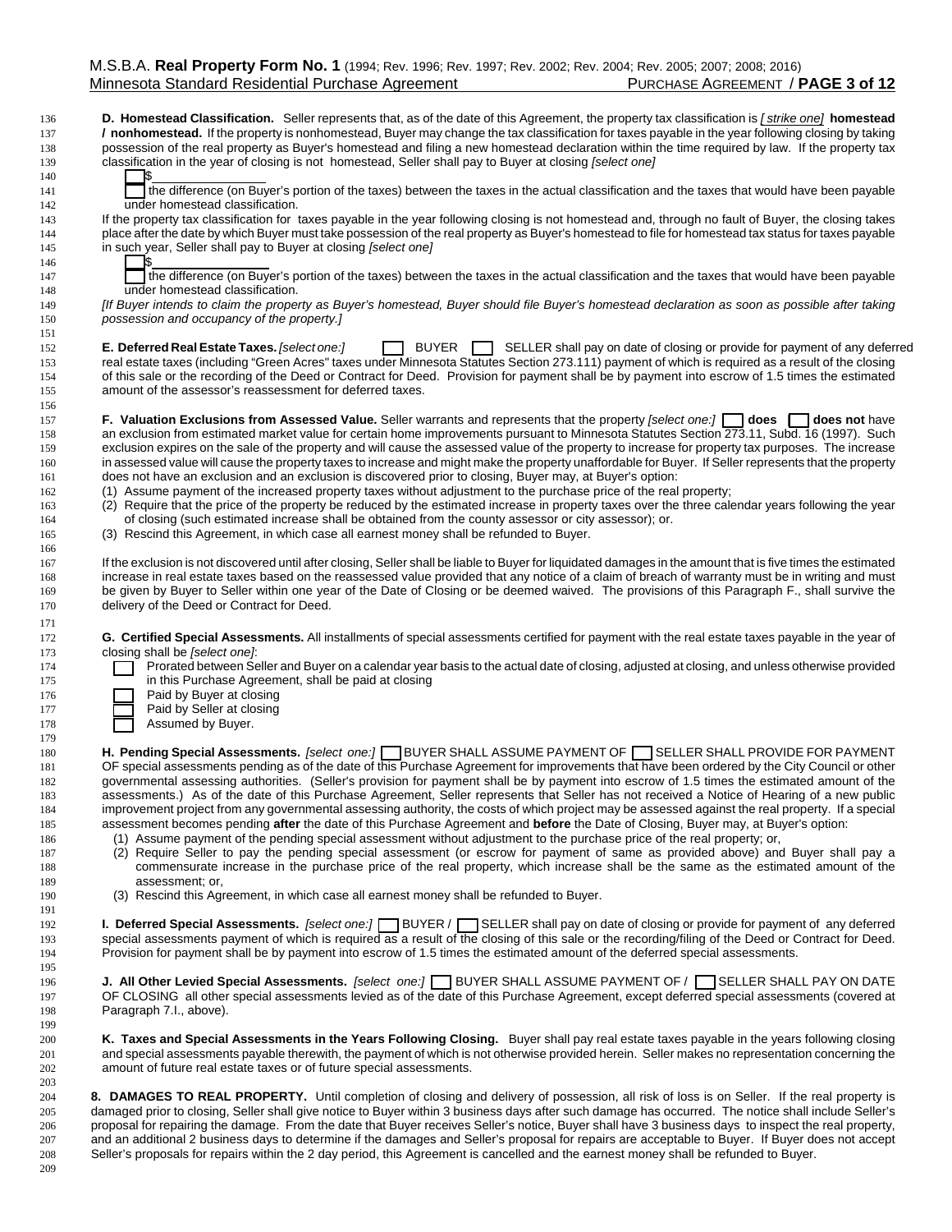**D. Homestead Classification.** Seller represents that, as of the date of this Agreement, the property tax classification is *[ strike one]* **homestead / nonhomestead.** If the property is nonhomestead, Buyer may change the tax classification for taxes payable in the year following closing by taking possession of the real property as Buyer's homestead and filing a new homestead declaration within the time required by law. If the property tax classification in the year of closing is not homestead, Seller shall pay to Buyer at closing *[select one]*

**141** the difference (on Buyer's portion of the taxes) between the taxes in the actual classification and the taxes that would have been payable under homestead classification.

 If the property tax classification for taxes payable in the year following closing is not homestead and, through no fault of Buyer, the closing takes place after the date by which Buyer must take possession of the real property as Buyer's homestead to file for homestead tax status for taxes payable in such year, Seller shall pay to Buyer at closing *[select one]*

**ILD the difference (on Buyer's portion of the taxes) between the taxes in the actual classification and the taxes that would have been payable** under homestead classification.

 *[If Buyer intends to claim the property as Buyer's homestead, Buyer should file Buyer's homestead declaration as soon as possible after taking possession and occupancy of the property.]*

**E. Deferred Real Estate Taxes.** *[select one:]* **E. If BUYER SELLER** shall pay on date of closing or provide for payment of any deferred real estate taxes (including "Green Acres" taxes under Minnesota Statutes Section 273.111) payment of which is required as a result of the closing of this sale or the recording of the Deed or Contract for Deed. Provision for payment shall be by payment into escrow of 1.5 times the estimated amount of the assessor's reassessment for deferred taxes.

 **F. Valuation Exclusions from Assessed Value.** Seller warrants and represents that the property *[select one:]* **[\_\_] does [\_\_] does not** have 158 an exclusion from estimated market value for certain home improvements pursuant to Minnesota Statutes Section 273.11, Subd. 16 (1997). Such exclusion expires on the sale of the property and will cause the assessed value of the property to increase for property tax purposes. The increase in assessed value will cause the property taxes to increase and might make the property unaffordable for Buyer. If Seller represents that the property does not have an exclusion and an exclusion is discovered prior to closing, Buyer may, at Buyer's option:

(1) Assume payment of the increased property taxes without adjustment to the purchase price of the real property;

(2) Require that the price of the property be reduced by the estimated increase in property taxes over the three calendar years following the year

 of closing (such estimated increase shall be obtained from the county assessor or city assessor); or. (3) Rescind this Agreement, in which case all earnest money shall be refunded to Buyer.

 If the exclusion is not discovered until after closing, Seller shall be liable to Buyer for liquidated damages in the amount that is five times the estimated increase in real estate taxes based on the reassessed value provided that any notice of a claim of breach of warranty must be in writing and must be given by Buyer to Seller within one year of the Date of Closing or be deemed waived. The provisions of this Paragraph F., shall survive the delivery of the Deed or Contract for Deed.

 **G. Certified Special Assessments.** All installments of special assessments certified for payment with the real estate taxes payable in the year of closing shall be *[select one]*:

**ILC Prorated between Seller and Buyer on a calendar year basis to the actual date of closing, adjusted at closing, and unless otherwise provided in this Purchase Agreement, shall be paid at closing** 

| 176 | Paid by Buyer at closing |  |
|-----|--------------------------|--|

- **Paid by Seller at closing**
- **I** Assumed by Buyer.

**H. Pending Special Assessments.** *[select one:]* **BUYER SHALL ASSUME PAYMENT OF <b>SELLER SHALL PROVIDE FOR PAYMENT**  OF special assessments pending as of the date of this Purchase Agreement for improvements that have been ordered by the City Council or other governmental assessing authorities. (Seller's provision for payment shall be by payment into escrow of 1.5 times the estimated amount of the assessments.) As of the date of this Purchase Agreement, Seller represents that Seller has not received a Notice of Hearing of a new public improvement project from any governmental assessing authority, the costs of which project may be assessed against the real property. If a special assessment becomes pending **after** the date of this Purchase Agreement and **before** the Date of Closing, Buyer may, at Buyer's option:

- (1) Assume payment of the pending special assessment without adjustment to the purchase price of the real property; or,
- (2) Require Seller to pay the pending special assessment (or escrow for payment of same as provided above) and Buyer shall pay a commensurate increase in the purchase price of the real property, which increase shall be the same as the estimated amount of the 189 assessment; or,<br>190 (3) Rescind this Age
	- (3) Rescind this Agreement, in which case all earnest money shall be refunded to Buyer.

 **I. Deferred Special Assessments.** *[select one:]* [\_\_] BUYER / [\_\_] SELLER shall pay on date of closing or provide for payment of any deferred special assessments payment of which is required as a result of the closing of this sale or the recording/filing of the Deed or Contract for Deed. Provision for payment shall be by payment into escrow of 1.5 times the estimated amount of the deferred special assessments.

 **J. All Other Levied Special Assessments.** *[select one:]* [\_\_] BUYER SHALL ASSUME PAYMENT OF / [\_\_] SELLER SHALL PAY ON DATE OF CLOSING all other special assessments levied as of the date of this Purchase Agreement, except deferred special assessments (covered at Paragraph 7.I., above).

 **K. Taxes and Special Assessments in the Years Following Closing.** Buyer shall pay real estate taxes payable in the years following closing and special assessments payable therewith, the payment of which is not otherwise provided herein. Seller makes no representation concerning the amount of future real estate taxes or of future special assessments.

 **8. DAMAGES TO REAL PROPERTY.** Until completion of closing and delivery of possession, all risk of loss is on Seller. If the real property is damaged prior to closing, Seller shall give notice to Buyer within 3 business days after such damage has occurred. The notice shall include Seller's proposal for repairing the damage. From the date that Buyer receives Seller's notice, Buyer shall have 3 business days to inspect the real property, and an additional 2 business days to determine if the damages and Seller's proposal for repairs are acceptable to Buyer. If Buyer does not accept Seller's proposals for repairs within the 2 day period, this Agreement is cancelled and the earnest money shall be refunded to Buyer.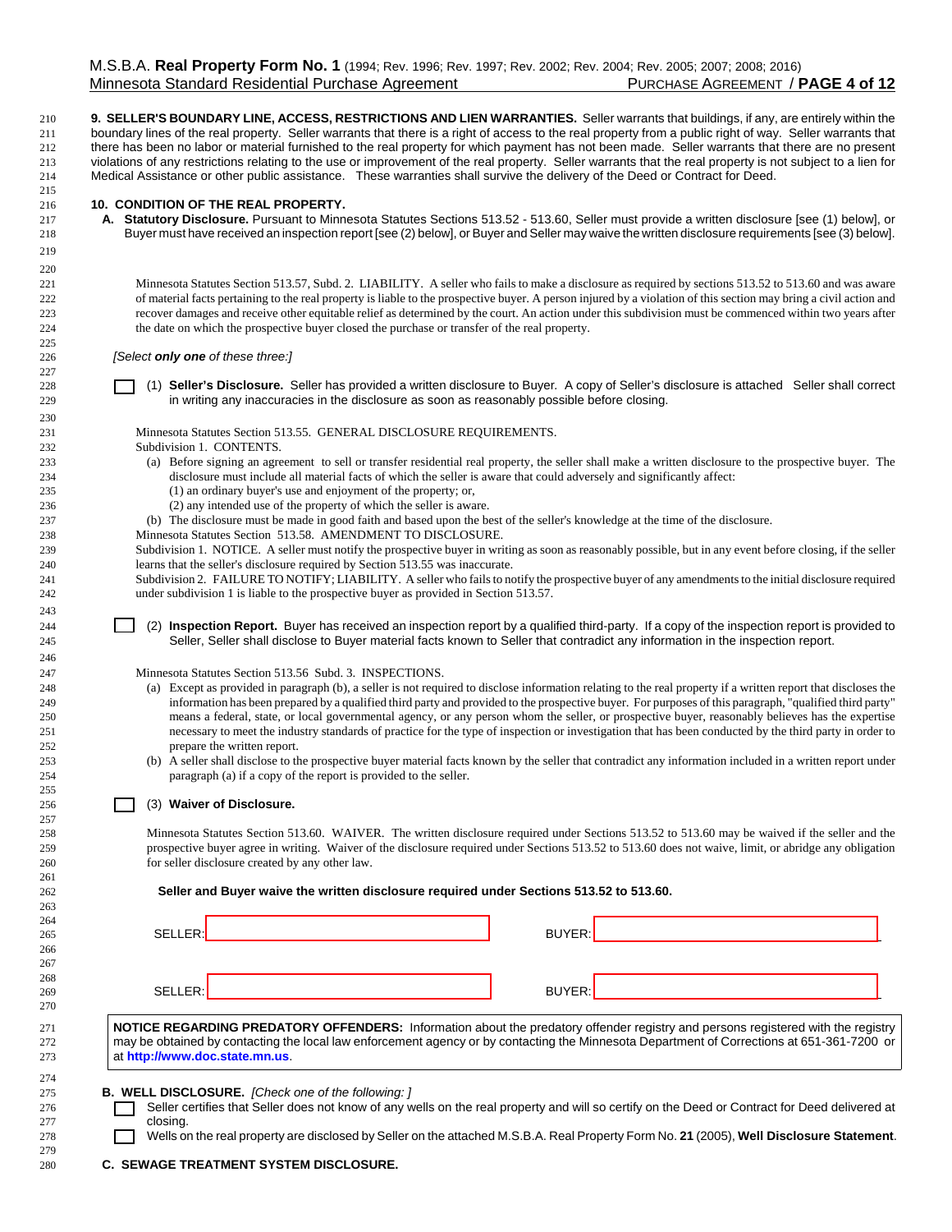**9. SELLER'S BOUNDARY LINE, ACCESS, RESTRICTIONS AND LIEN WARRANTIES.** Seller warrants that buildings, if any, are entirely within the boundary lines of the real property. Seller warrants that there is a right of access to the real property from a public right of way. Seller warrants that there has been no labor or material furnished to the real property for which payment has not been made. Seller warrants that there are no present violations of any restrictions relating to the use or improvement of the real property. Seller warrants that the real property is not subject to a lien for Medical Assistance or other public assistance. These warranties shall survive the delivery of the Deed or Contract for Deed.

### **10. CONDITION OF THE REAL PROPERTY.**

 **A. Statutory Disclosure.** Pursuant to Minnesota Statutes Sections 513.52 - 513.60, Seller must provide a written disclosure [see (1) below], or Buyer must have received an inspection report [see (2) below], or Buyer and Seller may waive the written disclosure requirements [see (3) below].

 Minnesota Statutes Section 513.57, Subd. 2. LIABILITY. A seller who fails to make a disclosure as required by sections 513.52 to 513.60 and was aware of material facts pertaining to the real property is liable to the prospective buyer. A person injured by a violation of this section may bring a civil action and recover damages and receive other equitable relief as determined by the court. An action under this subdivision must be commenced within two years after the date on which the prospective buyer closed the purchase or transfer of the real property.

*[Select only one of these three:]*

 [\_\_] (1) **Seller's Disclosure.** Seller has provided a written disclosure to Buyer*.* A copy of Seller's disclosure is attached Seller shall correct in writing any inaccuracies in the disclosure as soon as reasonably possible before closing.

Minnesota Statutes Section 513.55. GENERAL DISCLOSURE REQUIREMENTS.

Subdivision 1. CONTENTS.

- (a) Before signing an agreement to sell or transfer residential real property, the seller shall make a written disclosure to the prospective buyer. The disclosure must include all material facts of which the seller is aware that could adversely and significantly affect:
- (1) an ordinary buyer's use and enjoyment of the property; or,
- (2) any intended use of the property of which the seller is aware.
- (b) The disclosure must be made in good faith and based upon the best of the seller's knowledge at the time of the disclosure.
- Minnesota Statutes Section 513.58. AMENDMENT TO DISCLOSURE.

 Subdivision 1. NOTICE. A seller must notify the prospective buyer in writing as soon as reasonably possible, but in any event before closing, if the seller learns that the seller's disclosure required by Section 513.55 was inaccurate.

 Subdivision 2. FAILURE TO NOTIFY; LIABILITY. A seller who fails to notify the prospective buyer of any amendments to the initial disclosure required under subdivision 1 is liable to the prospective buyer as provided in Section 513.57.

 [\_\_] (2) **Inspection Report.** Buyer has received an inspection report by a qualified third-party. If a copy of the inspection report is provided to Seller, Seller shall disclose to Buyer material facts known to Seller that contradict any information in the inspection report.

Minnesota Statutes Section 513.56 Subd. 3. INSPECTIONS.

- (a) Except as provided in paragraph (b), a seller is not required to disclose information relating to the real property if a written report that discloses the information has been prepared by a qualified third party and provided to the prospective buyer. For purposes of this paragraph, "qualified third party" means a federal, state, or local governmental agency, or any person whom the seller, or prospective buyer, reasonably believes has the expertise necessary to meet the industry standards of practice for the type of inspection or investigation that has been conducted by the third party in order to prepare the written report.
- (b) A seller shall disclose to the prospective buyer material facts known by the seller that contradict any information included in a written report under paragraph (a) if a copy of the report is provided to the seller.

### **120 [201] (3) Waiver of Disclosure.**

 Minnesota Statutes Section 513.60. WAIVER. The written disclosure required under Sections 513.52 to 513.60 may be waived if the seller and the prospective buyer agree in writing. Waiver of the disclosure required under Sections 513.52 to 513.60 does not waive, limit, or abridge any obligation for seller disclosure created by any other law.

#### **Seller and Buyer waive the written disclosure required under Sections 513.52 to 513.60.**

| --         |                                                                                                                                                                                                                                   |                                                                                                                                                                                                                                                                                |  |
|------------|-----------------------------------------------------------------------------------------------------------------------------------------------------------------------------------------------------------------------------------|--------------------------------------------------------------------------------------------------------------------------------------------------------------------------------------------------------------------------------------------------------------------------------|--|
| 265        | SELLER: _________________________________                                                                                                                                                                                         |                                                                                                                                                                                                                                                                                |  |
| 266        |                                                                                                                                                                                                                                   |                                                                                                                                                                                                                                                                                |  |
| 267        |                                                                                                                                                                                                                                   |                                                                                                                                                                                                                                                                                |  |
| 268        |                                                                                                                                                                                                                                   |                                                                                                                                                                                                                                                                                |  |
| 269        | SELLER:                                                                                                                                                                                                                           | BUYER:<br>the contract of the contract of the contract of the contract of the contract of the contract of the contract of                                                                                                                                                      |  |
| 270        |                                                                                                                                                                                                                                   |                                                                                                                                                                                                                                                                                |  |
| 271<br>272 |                                                                                                                                                                                                                                   | NOTICE REGARDING PREDATORY OFFENDERS: Information about the predatory offender registry and persons registered with the registry<br>may be obtained by contacting the local law enforcement agency or by contacting the Minnesota Department of Corrections at 651-361-7200 or |  |
| 273        | at http://www.doc.state.mn.us                                                                                                                                                                                                     |                                                                                                                                                                                                                                                                                |  |
| 274        | $\frac{1}{2}$ . The state of the state of the state of the state of the state of the state of the state of the state of the state of the state of the state of the state of the state of the state of the state of the state of t |                                                                                                                                                                                                                                                                                |  |
|            |                                                                                                                                                                                                                                   |                                                                                                                                                                                                                                                                                |  |

**B. WELL DISCLOSURE.** *[Check one of the following: ]*

**ILL SELLER CERTIFY SELLER CERTIFY SELLER CERTIFY** Seller certifies that Seller does not know of any wells on the real property and will so certify on the Deed or Contract for Deed delivered at 277 closing.

[\_\_] Wells on the real property are disclosed by Seller on the attached M.S.B.A. Real Property Form No. **21** (2005), **Well Disclosure Statement**.

**C. SEWAGE TREATMENT SYSTEM DISCLOSURE.**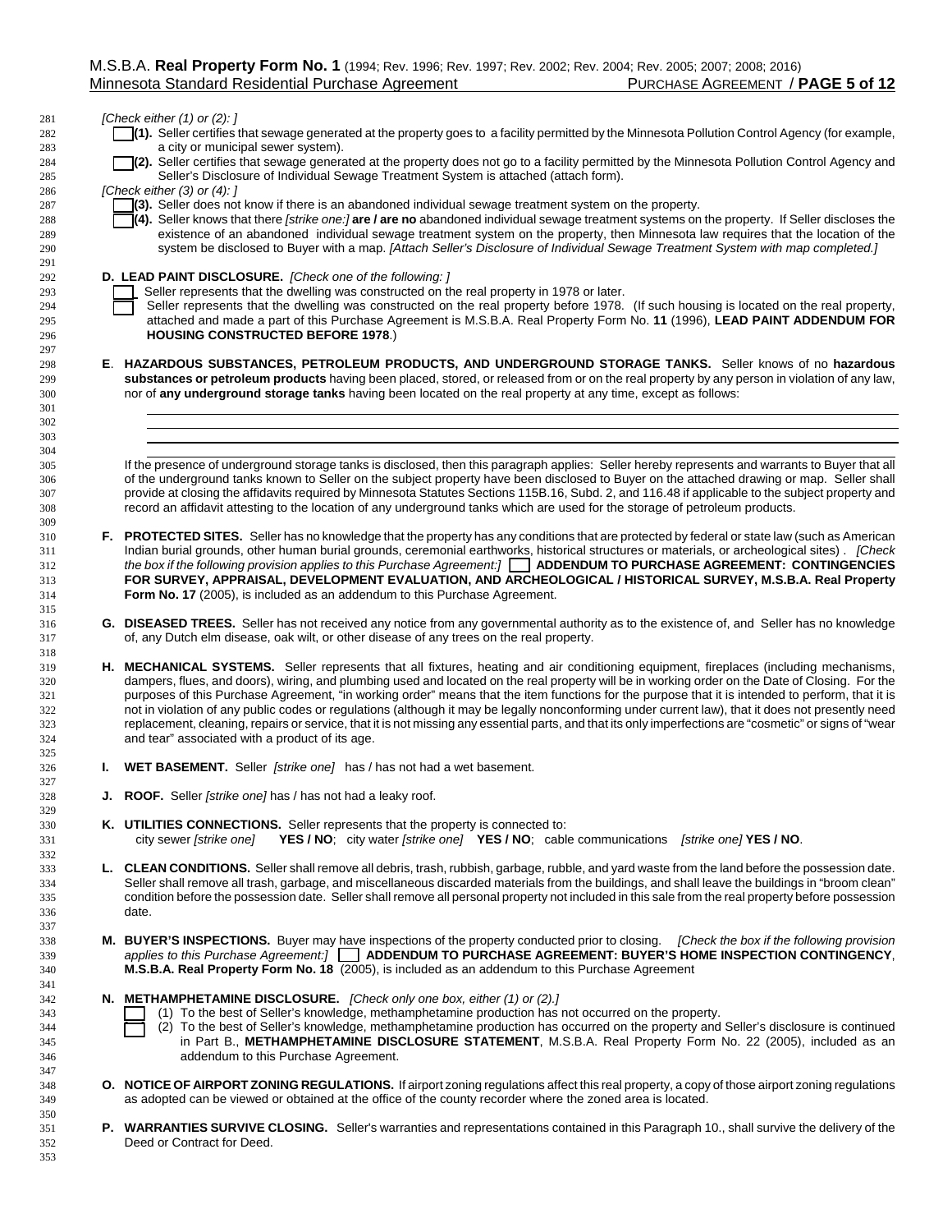## *[Check either (1) or (2): ]*

- **[4]**(1). Seller certifies that sewage generated at the property goes to a facility permitted by the Minnesota Pollution Control Agency (for example, a city or municipal sewer system).
- **[2].** Seller certifies that sewage generated at the property does not go to a facility permitted by the Minnesota Pollution Control Agency and Seller's Disclosure of Individual Sewage Treatment System is attached (attach form).

*[Check either (3) or (4): ]*

- **[43].** Seller does not know if there is an abandoned individual sewage treatment system on the property.
- **[4]** (4). Seller knows that there *[strike one:]* are *l* are no abandoned individual sewage treatment systems on the property. If Seller discloses the existence of an abandoned individual sewage treatment system on the property, then Minnesota law requires that the location of the system be disclosed to Buyer with a map. *[Attach Seller's Disclosure of Individual Sewage Treatment System with map completed.]*

## **D. LEAD PAINT DISCLOSURE.** *[Check one of the following: ]*

- 293 Seller represents that the dwelling was constructed on the real property in 1978 or later.
- 294 Seller represents that the dwelling was constructed on the real property before 1978. (If such housing is located on the real property, attached and made a part of this Purchase Agreement is M.S.B.A. Real Property Form No. **11** (1996), **LEAD PAINT ADDENDUM FOR HOUSING CONSTRUCTED BEFORE 1978**.)
- **E**. **HAZARDOUS SUBSTANCES, PETROLEUM PRODUCTS, AND UNDERGROUND STORAGE TANKS.** Seller knows of no **hazardous substances or petroleum products** having been placed, stored, or released from or on the real property by any person in violation of any law, nor of **any underground storage tanks** having been located on the real property at any time, except as follows:

 If the presence of underground storage tanks is disclosed, then this paragraph applies: Seller hereby represents and warrants to Buyer that all of the underground tanks known to Seller on the subject property have been disclosed to Buyer on the attached drawing or map. Seller shall provide at closing the affidavits required by Minnesota Statutes Sections 115B.16, Subd. 2, and 116.48 if applicable to the subject property and record an affidavit attesting to the location of any underground tanks which are used for the storage of petroleum products.

- **F. PROTECTED SITES.** Seller has no knowledge that the property has any conditions that are protected by federal or state law (such as American Indian burial grounds, other human burial grounds, ceremonial earthworks, historical structures or materials, or archeological sites) . *[Check the box if the following provision applies to this Purchase Agreement:]* [\_\_] **ADDENDUM TO PURCHASE AGREEMENT: CONTINGENCIES FOR SURVEY, APPRAISAL, DEVELOPMENT EVALUATION, AND ARCHEOLOGICAL / HISTORICAL SURVEY, M.S.B.A. Real Property Form No. 17** (2005), is included as an addendum to this Purchase Agreement.
- **G. DISEASED TREES.** Seller has not received any notice from any governmental authority as to the existence of, and Seller has no knowledge of, any Dutch elm disease, oak wilt, or other disease of any trees on the real property.
- **H. MECHANICAL SYSTEMS.** Seller represents that all fixtures, heating and air conditioning equipment, fireplaces (including mechanisms, dampers, flues, and doors), wiring, and plumbing used and located on the real property will be in working order on the Date of Closing. For the purposes of this Purchase Agreement, "in working order" means that the item functions for the purpose that it is intended to perform, that it is not in violation of any public codes or regulations (although it may be legally nonconforming under current law), that it does not presently need 323 replacement, cleaning, repairs or service, that it is not missing any essential parts, and that its only imperfections are "cosmetic" or signs of "wear and tear" associated with a product of its age.
- **I. WET BASEMENT.** Seller *[strike one]* has / has not had a wet basement.
- **J. ROOF.** Seller *[strike one]* has / has not had a leaky roof.
- **K. UTILITIES CONNECTIONS.** Seller represents that the property is connected to: city sewer *[strike one]* **YES / NO**; city water *[strike one]* **YES / NO**; cable communications *[strike one]* **YES / NO**.
- **L. CLEAN CONDITIONS.** Seller shall remove all debris, trash, rubbish, garbage, rubble, and yard waste from the land before the possession date. Seller shall remove all trash, garbage, and miscellaneous discarded materials from the buildings, and shall leave the buildings in "broom clean" condition before the possession date. Seller shall remove all personal property not included in this sale from the real property before possession date.
- **M. BUYER'S INSPECTIONS.** Buyer may have inspections of the property conducted prior to closing. *[Check the box if the following provision applies to this Purchase Agreement:]* [\_\_] **ADDENDUM TO PURCHASE AGREEMENT: BUYER'S HOME INSPECTION CONTINGENCY**, **M.S.B.A. Real Property Form No. 18** (2005), is included as an addendum to this Purchase Agreement
- **N. METHAMPHETAMINE DISCLOSURE.** *[Check only one box, either (1) or (2).]*
- **[1]** (1) To the best of Seller's knowledge, methamphetamine production has not occurred on the property.
- 344 [2] To the best of Seller's knowledge, methamphetamine production has occurred on the property and Seller's disclosure is continued in Part B., **METHAMPHETAMINE DISCLOSURE STATEMENT**, M.S.B.A. Real Property Form No. 22 (2005), included as an addendum to this Purchase Agreement.
- **O. NOTICE OF AIRPORT ZONING REGULATIONS.** If airport zoning regulations affect this real property, a copy of those airport zoning regulations as adopted can be viewed or obtained at the office of the county recorder where the zoned area is located.
- **P. WARRANTIES SURVIVE CLOSING.** Seller's warranties and representations contained in this Paragraph 10., shall survive the delivery of the Deed or Contract for Deed.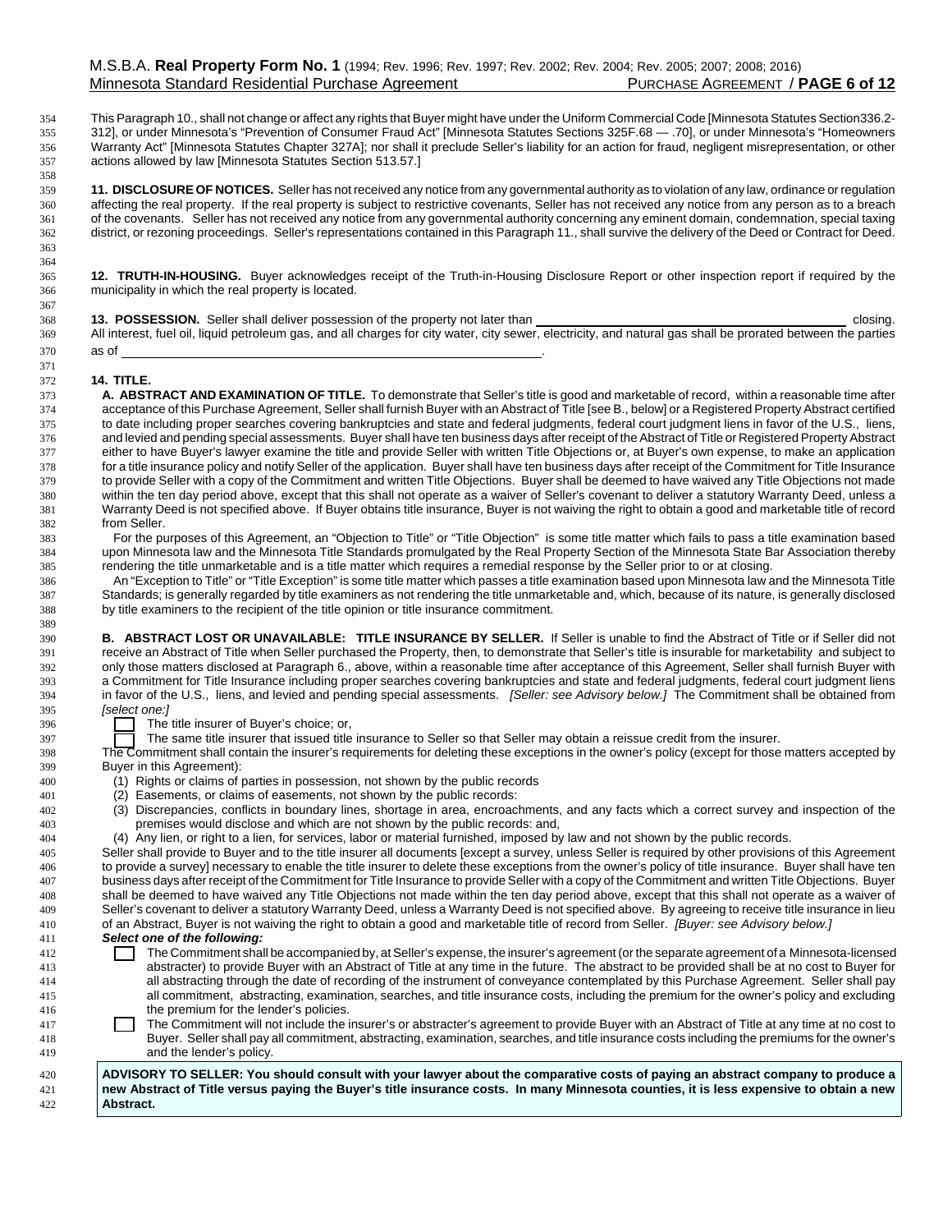This Paragraph 10., shall not change or affect any rights that Buyer might have under the Uniform Commercial Code [Minnesota Statutes Section336.2- 312], or under Minnesota's "Prevention of Consumer Fraud Act" [Minnesota Statutes Sections 325F.68 — .70], or under Minnesota's "Homeowners Warranty Act" [Minnesota Statutes Chapter 327A]; nor shall it preclude Seller's liability for an action for fraud, negligent misrepresentation, or other actions allowed by law [Minnesota Statutes Section 513.57.]

 **11. DISCLOSURE OF NOTICES.** Seller has not received any notice from any governmental authority as to violation of any law, ordinance or regulation affecting the real property. If the real property is subject to restrictive covenants, Seller has not received any notice from any person as to a breach of the covenants. Seller has not received any notice from any governmental authority concerning any eminent domain, condemnation, special taxing district, or rezoning proceedings. Seller's representations contained in this Paragraph 11., shall survive the delivery of the Deed or Contract for Deed.

 **12. TRUTH-IN-HOUSING.** Buyer acknowledges receipt of the Truth-in-Housing Disclosure Report or other inspection report if required by the municipality in which the real property is located.

| 368 | 13. POSSESSION. Seller shall deliver possession of the property not later than                                                                               | closing. |
|-----|--------------------------------------------------------------------------------------------------------------------------------------------------------------|----------|
| 369 | All interest, fuel oil, liquid petroleum gas, and all charges for city water, city sewer, electricity, and natural gas shall be prorated between the parties |          |
|     | as of                                                                                                                                                        |          |

## **14. TITLE.**

 

 **A. ABSTRACT AND EXAMINATION OF TITLE.** To demonstrate that Seller's title is good and marketable of record, within a reasonable time after acceptance of this Purchase Agreement, Seller shall furnish Buyer with an Abstract of Title [see B., below] or a Registered Property Abstract certified to date including proper searches covering bankruptcies and state and federal judgments, federal court judgment liens in favor of the U.S., liens, 376 and levied and pending special assessments. Buyer shall have ten business days after receipt of the Abstract of Title or Registered Property Abstract of Title or Registered Property Abstract of Title or Registered Prop either to have Buyer's lawyer examine the title and provide Seller with written Title Objections or, at Buyer's own expense, to make an application for a title insurance policy and notify Seller of the application. Buyer shall have ten business days after receipt of the Commitment for Title Insurance to provide Seller with a copy of the Commitment and written Title Objections. Buyer shall be deemed to have waived any Title Objections not made within the ten day period above, except that this shall not operate as a waiver of Seller's covenant to deliver a statutory Warranty Deed, unless a Warranty Deed is not specified above. If Buyer obtains title insurance, Buyer is not waiving the right to obtain a good and marketable title of record from Seller.

 For the purposes of this Agreement, an "Objection to Title" or "Title Objection" is some title matter which fails to pass a title examination based upon Minnesota law and the Minnesota Title Standards promulgated by the Real Property Section of the Minnesota State Bar Association thereby rendering the title unmarketable and is a title matter which requires a remedial response by the Seller prior to or at closing.

 An "Exception to Title" or "Title Exception" is some title matter which passes a title examination based upon Minnesota law and the Minnesota Title Standards; is generally regarded by title examiners as not rendering the title unmarketable and, which, because of its nature, is generally disclosed by title examiners to the recipient of the title opinion or title insurance commitment.

 **B. ABSTRACT LOST OR UNAVAILABLE: TITLE INSURANCE BY SELLER.** If Seller is unable to find the Abstract of Title or if Seller did not receive an Abstract of Title when Seller purchased the Property, then, to demonstrate that Seller's title is insurable for marketability and subject to only those matters disclosed at Paragraph 6., above, within a reasonable time after acceptance of this Agreement, Seller shall furnish Buyer with a Commitment for Title Insurance including proper searches covering bankruptcies and state and federal judgments, federal court judgment liens in favor of the U.S., liens, and levied and pending special assessments. *[Seller: see Advisory below.]* The Commitment shall be obtained from *[select one:]*

The title insurer of Buver's choice; or,

<sup>397</sup> The same title insurer that issued title insurance to Seller so that Seller may obtain a reissue credit from the insurer.

 The Commitment shall contain the insurer's requirements for deleting these exceptions in the owner's policy (except for those matters accepted by Buyer in this Agreement):

- (1) Rights or claims of parties in possession, not shown by the public records
- (2) Easements, or claims of easements, not shown by the public records:
- (3) Discrepancies, conflicts in boundary lines, shortage in area, encroachments, and any facts which a correct survey and inspection of the premises would disclose and which are not shown by the public records: and,

(4) Any lien, or right to a lien, for services, labor or material furnished, imposed by law and not shown by the public records.

 Seller shall provide to Buyer and to the title insurer all documents [except a survey, unless Seller is required by other provisions of this Agreement to provide a survey] necessary to enable the title insurer to delete these exceptions from the owner's policy of title insurance. Buyer shall have ten business days after receipt of the Commitment for Title Insurance to provide Seller with a copy of the Commitment and written Title Objections. Buyer shall be deemed to have waived any Title Objections not made within the ten day period above, except that this shall not operate as a waiver of Seller's covenant to deliver a statutory Warranty Deed, unless a Warranty Deed is not specified above. By agreeing to receive title insurance in lieu of an Abstract, Buyer is not waiving the right to obtain a good and marketable title of record from Seller. *[Buyer: see Advisory below.]*

- *Select one of the following:*
- <sup>412</sup> The Commitment shall be accompanied by, at Seller's expense, the insurer's agreement (or the separate agreement of a Minnesota-licensed abstracter) to provide Buyer with an Abstract of Title at any time in the future. The abstract to be provided shall be at no cost to Buyer for all abstracting through the date of recording of the instrument of conveyance contemplated by this Purchase Agreement. Seller shall pay all commitment, abstracting, examination, searches, and title insurance costs, including the premium for the owner's policy and excluding the premium for the lender's policies.
- <sup>417</sup> The Commitment will not include the insurer's or abstracter's agreement to provide Buyer with an Abstract of Title at any time at no cost to <sup>418</sup> Buyer. Seller shall pay all commitment, abstracting, examination, searches, and title insurance costs including the premiums for the owner's and the lender's policy.

 **ADVISORY TO SELLER: You should consult with your lawyer about the comparative costs of paying an abstract company to produce a new Abstract of Title versus paying the Buyer's title insurance costs. In many Minnesota counties, it is less expensive to obtain a new Abstract.**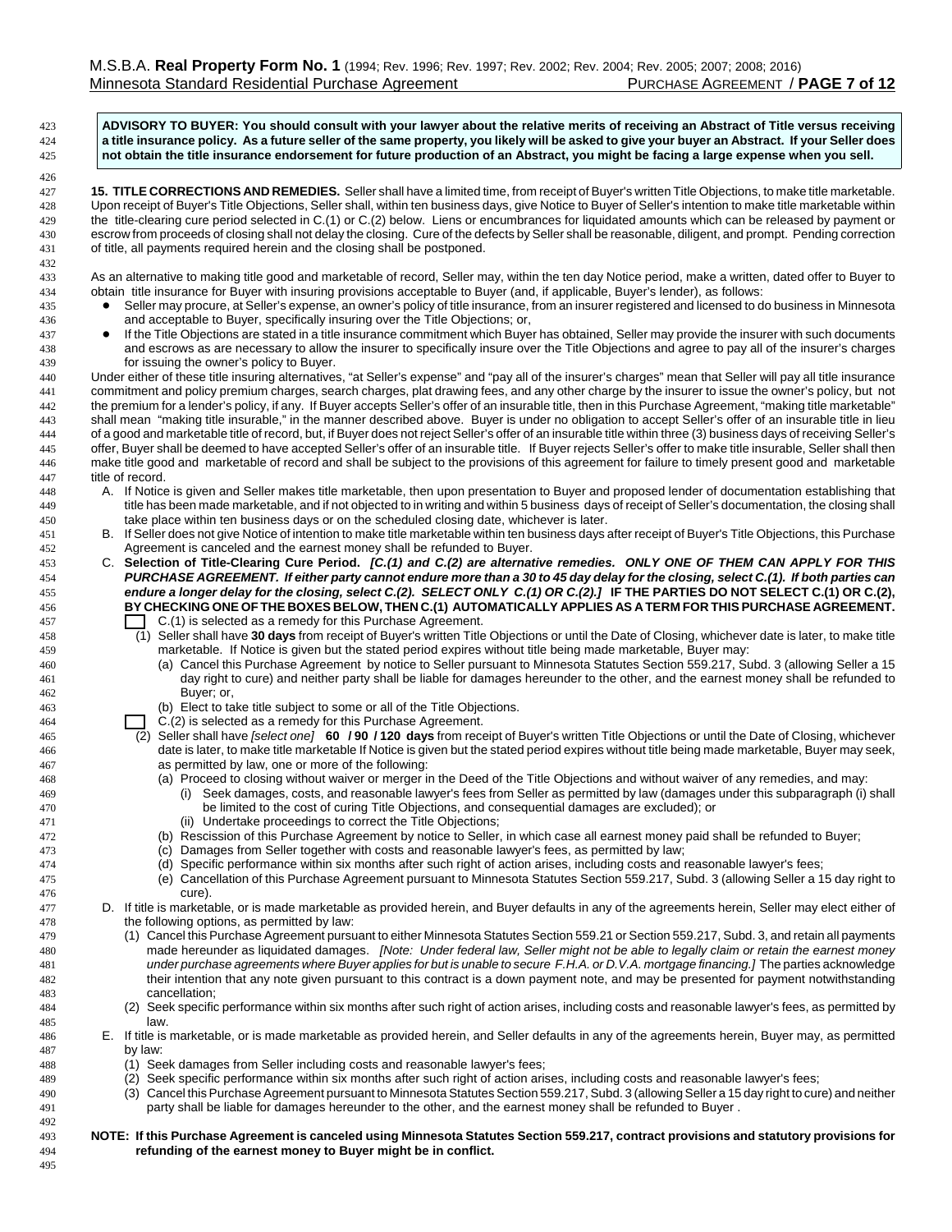**ADVISORY TO BUYER: You should consult with your lawyer about the relative merits of receiving an Abstract of Title versus receiving a title insurance policy. As a future seller of the same property, you likely will be asked to give your buyer an Abstract. If your Seller does not obtain the title insurance endorsement for future production of an Abstract, you might be facing a large expense when you sell. 15. TITLE CORRECTIONS AND REMEDIES.** Seller shall have a limited time, from receipt of Buyer's written Title Objections, to make title marketable. Upon receipt of Buyer's Title Objections, Seller shall, within ten business days, give Notice to Buyer of Seller's intention to make title marketable within the title-clearing cure period selected in C.(1) or C.(2) below. Liens or encumbrances for liquidated amounts which can be released by payment or escrow from proceeds of closing shall not delay the closing. Cure of the defects by Seller shall be reasonable, diligent, and prompt. Pending correction of title, all payments required herein and the closing shall be postponed. As an alternative to making title good and marketable of record, Seller may, within the ten day Notice period, make a written, dated offer to Buyer to obtain title insurance for Buyer with insuring provisions acceptable to Buyer (and, if applicable, Buyer's lender), as follows: 435 Seller may procure, at Seller's expense, an owner's policy of title insurance, from an insurer registered and licensed to do business in Minnesota and acceptable to Buyer, specifically insuring over the Title Objections; or, 437 If the Title Objections are stated in a title insurance commitment which Buyer has obtained, Seller may provide the insurer with such documents and escrows as are necessary to allow the insurer to specifically insure over the Title Objections and agree to pay all of the insurer's charges for issuing the owner's policy to Buyer. Under either of these title insuring alternatives, "at Seller's expense" and "pay all of the insurer's charges" mean that Seller will pay all title insurance commitment and policy premium charges, search charges, plat drawing fees, and any other charge by the insurer to issue the owner's policy, but not the premium for a lender's policy, if any. If Buyer accepts Seller's offer of an insurable title, then in this Purchase Agreement, "making title marketable" shall mean "making title insurable," in the manner described above. Buyer is under no obligation to accept Seller's offer of an insurable title in lieu of a good and marketable title of record, but, if Buyer does not reject Seller's offer of an insurable title within three (3) business days of receiving Seller's offer, Buyer shall be deemed to have accepted Seller's offer of an insurable title. If Buyer rejects Seller's offer to make title insurable, Seller shall then make title good and marketable of record and shall be subject to the provisions of this agreement for failure to timely present good and marketable title of record. A. If Notice is given and Seller makes title marketable, then upon presentation to Buyer and proposed lender of documentation establishing that title has been made marketable, and if not objected to in writing and within 5 business days of receipt of Seller's documentation, the closing shall take place within ten business days or on the scheduled closing date, whichever is later. B. If Seller does not give Notice of intention to make title marketable within ten business days after receipt of Buyer's Title Objections, this Purchase Agreement is canceled and the earnest money shall be refunded to Buyer. C. **Selection of Title-Clearing Cure Period.** *[C.(1) and C.(2) are alternative remedies. ONLY ONE OF THEM CAN APPLY FOR THIS PURCHASE AGREEMENT. If either party cannot endure more than a 30 to 45 day delay for the closing, select C.(1). If both parties can endure a longer delay for the closing, select C.(2). SELECT ONLY C.(1) OR C.(2).]* **IF THE PARTIES DO NOT SELECT C.(1) OR C.(2), BY CHECKING ONE OF THE BOXES BELOW, THEN C.(1) AUTOMATICALLY APPLIES AS A TERM FOR THIS PURCHASE AGREEMENT.**  $C.(1)$  is selected as a remedy for this Purchase Agreement. (1) Seller shall have **30 days** from receipt of Buyer's written Title Objections or until the Date of Closing, whichever date is later, to make title marketable. If Notice is given but the stated period expires without title being made marketable, Buyer may: (a) Cancel this Purchase Agreement by notice to Seller pursuant to Minnesota Statutes Section 559.217, Subd. 3 (allowing Seller a 15 day right to cure) and neither party shall be liable for damages hereunder to the other, and the earnest money shall be refunded to Buyer; or, (b) Elect to take title subject to some or all of the Title Objections. **C.(2)** is selected as a remedy for this Purchase Agreement. (2) Seller shall have *[select one]* **60 / 90 / 120 days** from receipt of Buyer's written Title Objections or until the Date of Closing, whichever date is later, to make title marketable If Notice is given but the stated period expires without title being made marketable, Buyer may seek, as permitted by law, one or more of the following: (a) Proceed to closing without waiver or merger in the Deed of the Title Objections and without waiver of any remedies, and may: (i) Seek damages, costs, and reasonable lawyer's fees from Seller as permitted by law (damages under this subparagraph (i) shall be limited to the cost of curing Title Objections, and consequential damages are excluded); or (ii) Undertake proceedings to correct the Title Objections; (b) Rescission of this Purchase Agreement by notice to Seller, in which case all earnest money paid shall be refunded to Buyer; (c) Damages from Seller together with costs and reasonable lawyer's fees, as permitted by law; (d) Specific performance within six months after such right of action arises, including costs and reasonable lawyer's fees; (e) Cancellation of this Purchase Agreement pursuant to Minnesota Statutes Section 559.217, Subd. 3 (allowing Seller a 15 day right to cure). D. If title is marketable, or is made marketable as provided herein, and Buyer defaults in any of the agreements herein, Seller may elect either of the following options, as permitted by law: (1) Cancel this Purchase Agreement pursuant to either Minnesota Statutes Section 559.21 or Section 559.217, Subd. 3, and retain all payments made hereunder as liquidated damages. *[Note: Under federal law, Seller might not be able to legally claim or retain the earnest money under purchase agreements where Buyer applies for but is unable to secure F.H.A. or D.V.A. mortgage financing.]* The parties acknowledge their intention that any note given pursuant to this contract is a down payment note, and may be presented for payment notwithstanding cancellation; (2) Seek specific performance within six months after such right of action arises, including costs and reasonable lawyer's fees, as permitted by law. E. If title is marketable, or is made marketable as provided herein, and Seller defaults in any of the agreements herein, Buyer may, as permitted by law: (1) Seek damages from Seller including costs and reasonable lawyer's fees; (2) Seek specific performance within six months after such right of action arises, including costs and reasonable lawyer's fees; (3) Cancel this Purchase Agreement pursuant to Minnesota Statutes Section 559.217, Subd. 3 (allowing Seller a 15 day right to cure) and neither party shall be liable for damages hereunder to the other, and the earnest money shall be refunded to Buyer . **NOTE: If this Purchase Agreement is canceled using Minnesota Statutes Section 559.217, contract provisions and statutory provisions for refunding of the earnest money to Buyer might be in conflict.**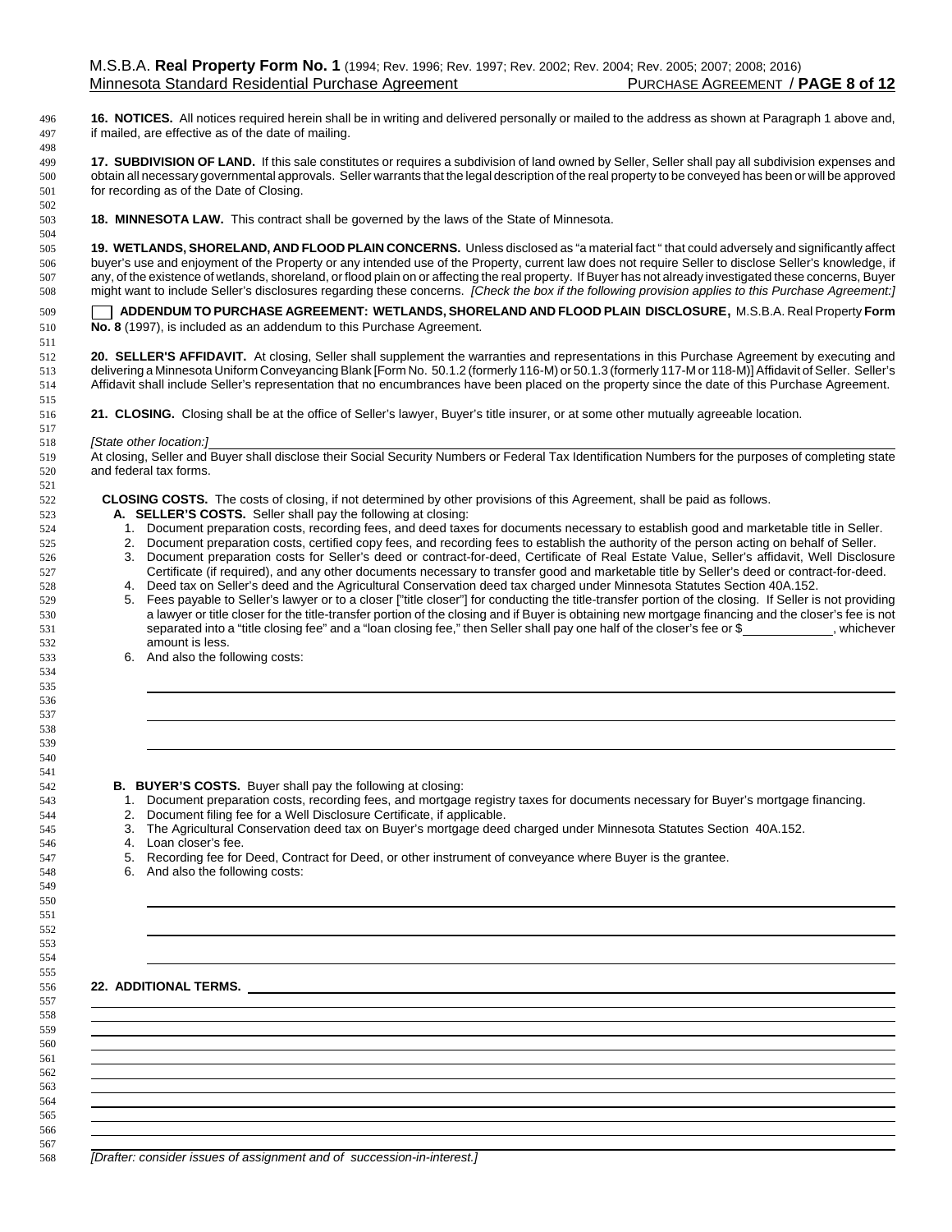**16. NOTICES.** All notices required herein shall be in writing and delivered personally or mailed to the address as shown at Paragraph 1 above and, if mailed, are effective as of the date of mailing.

 **17. SUBDIVISION OF LAND.** If this sale constitutes or requires a subdivision of land owned by Seller, Seller shall pay all subdivision expenses and obtain all necessary governmental approvals. Seller warrants that the legal description of the real property to be conveyed has been or will be approved for recording as of the Date of Closing.

**18. MINNESOTA LAW.** This contract shall be governed by the laws of the State of Minnesota.

 **19. WETLANDS, SHORELAND, AND FLOOD PLAIN CONCERNS.** Unless disclosed as "a material fact " that could adversely and significantly affect buyer's use and enjoyment of the Property or any intended use of the Property, current law does not require Seller to disclose Seller's knowledge, if any, of the existence of wetlands, shoreland, or flood plain on or affecting the real property. If Buyer has not already investigated these concerns, Buyer might want to include Seller's disclosures regarding these concerns. *[Check the box if the following provision applies to this Purchase Agreement:]*

 [\_\_] **ADDENDUM TO PURCHASE AGREEMENT: WETLANDS, SHORELAND AND FLOOD PLAIN DISCLOSURE**, M.S.B.A. Real Property **Form No. 8** (1997), is included as an addendum to this Purchase Agreement.

 **20. SELLER'S AFFIDAVIT.** At closing, Seller shall supplement the warranties and representations in this Purchase Agreement by executing and delivering a Minnesota Uniform Conveyancing Blank [Form No. 50.1.2 (formerly 116-M) or 50.1.3 (formerly 117-M or 118-M)] Affidavit of Seller. Seller's Affidavit shall include Seller's representation that no encumbrances have been placed on the property since the date of this Purchase Agreement.

**21. CLOSING.** Closing shall be at the office of Seller's lawyer, Buyer's title insurer, or at some other mutually agreeable location.

#### *[State other location:]*

519 At closing, Seller and Buyer shall disclose their Social Security Numbers or Federal Tax Identification Numbers for the purposes of completing state and federal tax forms.

**CLOSING COSTS.** The costs of closing, if not determined by other provisions of this Agreement, shall be paid as follows.

- **A. SELLER'S COSTS.** Seller shall pay the following at closing:
- 1. Document preparation costs, recording fees, and deed taxes for documents necessary to establish good and marketable title in Seller.
- 2. Document preparation costs, certified copy fees, and recording fees to establish the authority of the person acting on behalf of Seller.
- 3. Document preparation costs for Seller's deed or contract-for-deed, Certificate of Real Estate Value, Seller's affidavit, Well Disclosure Certificate (if required), and any other documents necessary to transfer good and marketable title by Seller's deed or contract-for-deed.
- 4. Deed tax on Seller's deed and the Agricultural Conservation deed tax charged under Minnesota Statutes Section 40A.152. 5. Fees payable to Seller's lawyer or to a closer ["title closer"] for conducting the title-transfer portion of the closing. If Seller is not providing
- a lawyer or title closer for the title-transfer portion of the closing and if Buyer is obtaining new mortgage financing and the closer's fee is not 531 separated into a "title closing fee" and a "loan closing fee," then Seller shall pay one half of the closer's fee or \$ , whichever amount is less.
- 6. And also the following costs:

### **B. BUYER'S COSTS.** Buyer shall pay the following at closing:

- 1. Document preparation costs, recording fees, and mortgage registry taxes for documents necessary for Buyer's mortgage financing.
- 2. Document filing fee for a Well Disclosure Certificate, if applicable.
- 3. The Agricultural Conservation deed tax on Buyer's mortgage deed charged under Minnesota Statutes Section 40A.152.
- 4. Loan closer's fee.
- 547 5. Recording fee for Deed, Contract for Deed, or other instrument of conveyance where Buyer is the grantee.
- 6. And also the following costs:

## **22. ADDITIONAL TERMS.**

*[Drafter: consider issues of assignment and of succession-in-interest.]*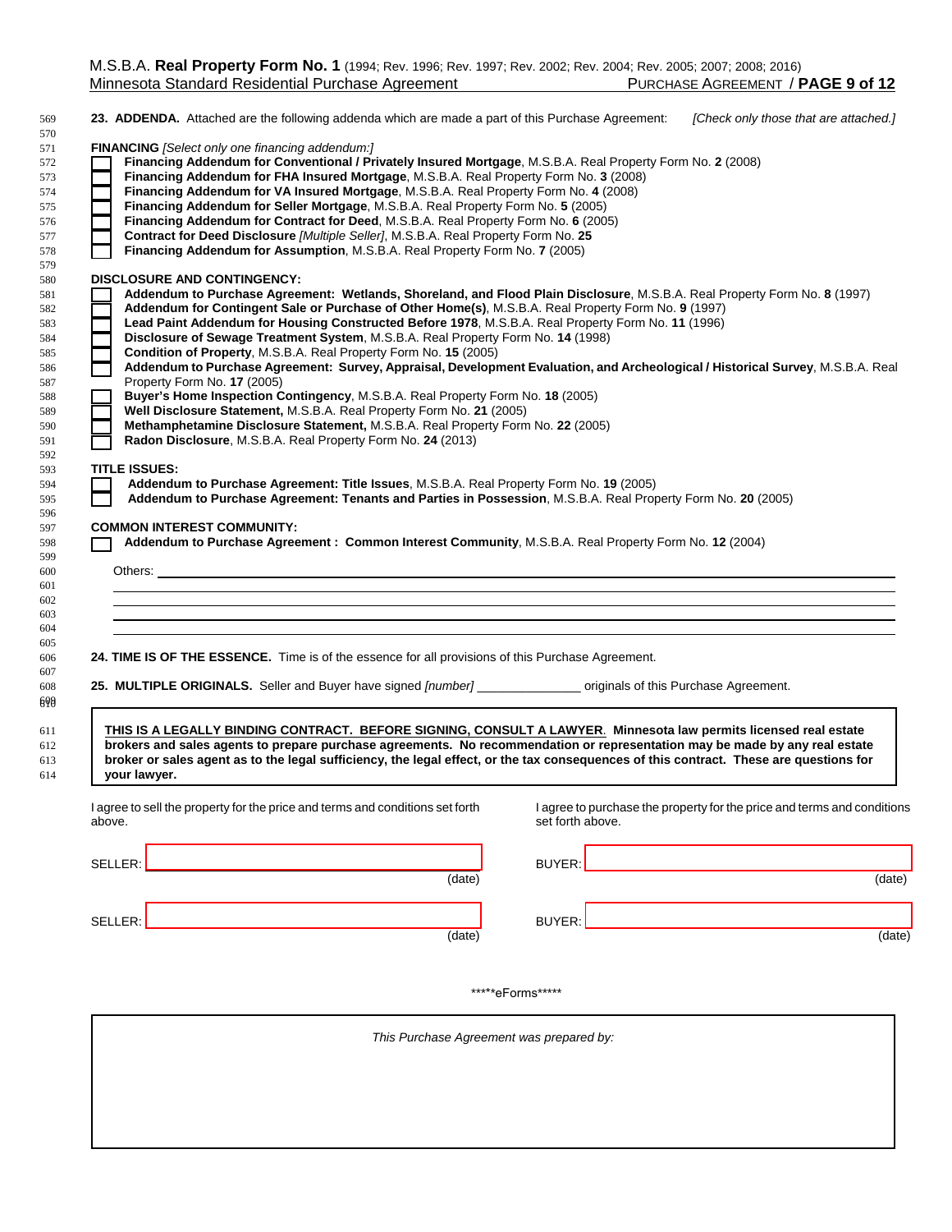| <b>FINANCING</b> [Select only one financing addendum:]                                                                                                                                                                   |                                          |                                                                         |
|--------------------------------------------------------------------------------------------------------------------------------------------------------------------------------------------------------------------------|------------------------------------------|-------------------------------------------------------------------------|
| Financing Addendum for Conventional / Privately Insured Mortgage, M.S.B.A. Real Property Form No. 2 (2008)                                                                                                               |                                          |                                                                         |
| Financing Addendum for FHA Insured Mortgage, M.S.B.A. Real Property Form No. 3 (2008)                                                                                                                                    |                                          |                                                                         |
| Financing Addendum for VA Insured Mortgage, M.S.B.A. Real Property Form No. 4 (2008)                                                                                                                                     |                                          |                                                                         |
| Financing Addendum for Seller Mortgage, M.S.B.A. Real Property Form No. 5 (2005)                                                                                                                                         |                                          |                                                                         |
| Financing Addendum for Contract for Deed, M.S.B.A. Real Property Form No. 6 (2005)                                                                                                                                       |                                          |                                                                         |
| Contract for Deed Disclosure [Multiple Seller], M.S.B.A. Real Property Form No. 25                                                                                                                                       |                                          |                                                                         |
| Financing Addendum for Assumption, M.S.B.A. Real Property Form No. 7 (2005)                                                                                                                                              |                                          |                                                                         |
| <b>DISCLOSURE AND CONTINGENCY:</b>                                                                                                                                                                                       |                                          |                                                                         |
| Addendum to Purchase Agreement: Wetlands, Shoreland, and Flood Plain Disclosure, M.S.B.A. Real Property Form No. 8 (1997)                                                                                                |                                          |                                                                         |
| Addendum for Contingent Sale or Purchase of Other Home(s), M.S.B.A. Real Property Form No. 9 (1997)                                                                                                                      |                                          |                                                                         |
| Lead Paint Addendum for Housing Constructed Before 1978, M.S.B.A. Real Property Form No. 11 (1996)                                                                                                                       |                                          |                                                                         |
| Disclosure of Sewage Treatment System, M.S.B.A. Real Property Form No. 14 (1998)<br>Condition of Property, M.S.B.A. Real Property Form No. 15 (2005)                                                                     |                                          |                                                                         |
| Addendum to Purchase Agreement: Survey, Appraisal, Development Evaluation, and Archeological / Historical Survey, M.S.B.A. Real                                                                                          |                                          |                                                                         |
| Property Form No. 17 (2005)                                                                                                                                                                                              |                                          |                                                                         |
| Buyer's Home Inspection Contingency, M.S.B.A. Real Property Form No. 18 (2005)                                                                                                                                           |                                          |                                                                         |
| Well Disclosure Statement, M.S.B.A. Real Property Form No. 21 (2005)                                                                                                                                                     |                                          |                                                                         |
| Methamphetamine Disclosure Statement, M.S.B.A. Real Property Form No. 22 (2005)                                                                                                                                          |                                          |                                                                         |
| Radon Disclosure, M.S.B.A. Real Property Form No. 24 (2013)                                                                                                                                                              |                                          |                                                                         |
|                                                                                                                                                                                                                          |                                          |                                                                         |
| <b>TITLE ISSUES:</b>                                                                                                                                                                                                     |                                          |                                                                         |
| Addendum to Purchase Agreement: Title Issues, M.S.B.A. Real Property Form No. 19 (2005)                                                                                                                                  |                                          |                                                                         |
| Addendum to Purchase Agreement: Tenants and Parties in Possession, M.S.B.A. Real Property Form No. 20 (2005)                                                                                                             |                                          |                                                                         |
|                                                                                                                                                                                                                          |                                          |                                                                         |
| <b>COMMON INTEREST COMMUNITY:</b>                                                                                                                                                                                        |                                          |                                                                         |
| Addendum to Purchase Agreement : Common Interest Community, M.S.B.A. Real Property Form No. 12 (2004)                                                                                                                    |                                          |                                                                         |
|                                                                                                                                                                                                                          |                                          |                                                                         |
|                                                                                                                                                                                                                          |                                          |                                                                         |
|                                                                                                                                                                                                                          |                                          |                                                                         |
|                                                                                                                                                                                                                          |                                          |                                                                         |
|                                                                                                                                                                                                                          |                                          |                                                                         |
|                                                                                                                                                                                                                          |                                          |                                                                         |
|                                                                                                                                                                                                                          |                                          |                                                                         |
|                                                                                                                                                                                                                          |                                          |                                                                         |
|                                                                                                                                                                                                                          |                                          |                                                                         |
|                                                                                                                                                                                                                          |                                          |                                                                         |
|                                                                                                                                                                                                                          |                                          |                                                                         |
|                                                                                                                                                                                                                          |                                          |                                                                         |
| THIS IS A LEGALLY BINDING CONTRACT. BEFORE SIGNING, CONSULT A LAWYER. Minnesota law permits licensed real estate                                                                                                         |                                          |                                                                         |
| brokers and sales agents to prepare purchase agreements. No recommendation or representation may be made by any real estate                                                                                              |                                          |                                                                         |
| broker or sales agent as to the legal sufficiency, the legal effect, or the tax consequences of this contract. These are questions for<br>your lawyer.                                                                   |                                          |                                                                         |
| 24. TIME IS OF THE ESSENCE. Time is of the essence for all provisions of this Purchase Agreement.<br>25. MULTIPLE ORIGINALS. Seller and Buyer have signed [number] _______________ originals of this Purchase Agreement. |                                          |                                                                         |
|                                                                                                                                                                                                                          |                                          |                                                                         |
|                                                                                                                                                                                                                          | set forth above.                         |                                                                         |
|                                                                                                                                                                                                                          |                                          | I agree to purchase the property for the price and terms and conditions |
|                                                                                                                                                                                                                          |                                          |                                                                         |
|                                                                                                                                                                                                                          | $(\text{date})$                          |                                                                         |
|                                                                                                                                                                                                                          |                                          |                                                                         |
|                                                                                                                                                                                                                          |                                          | (date)                                                                  |
|                                                                                                                                                                                                                          |                                          |                                                                         |
|                                                                                                                                                                                                                          | (date)                                   | $\overline{(\text{date})}$                                              |
|                                                                                                                                                                                                                          |                                          |                                                                         |
|                                                                                                                                                                                                                          |                                          |                                                                         |
|                                                                                                                                                                                                                          |                                          |                                                                         |
|                                                                                                                                                                                                                          | *****eForms******                        |                                                                         |
| I agree to sell the property for the price and terms and conditions set forth<br>above.                                                                                                                                  |                                          |                                                                         |
|                                                                                                                                                                                                                          | This Purchase Agreement was prepared by: |                                                                         |
|                                                                                                                                                                                                                          |                                          |                                                                         |
|                                                                                                                                                                                                                          |                                          |                                                                         |
|                                                                                                                                                                                                                          |                                          |                                                                         |
|                                                                                                                                                                                                                          |                                          |                                                                         |
|                                                                                                                                                                                                                          |                                          |                                                                         |
|                                                                                                                                                                                                                          |                                          |                                                                         |

**your lawyer.**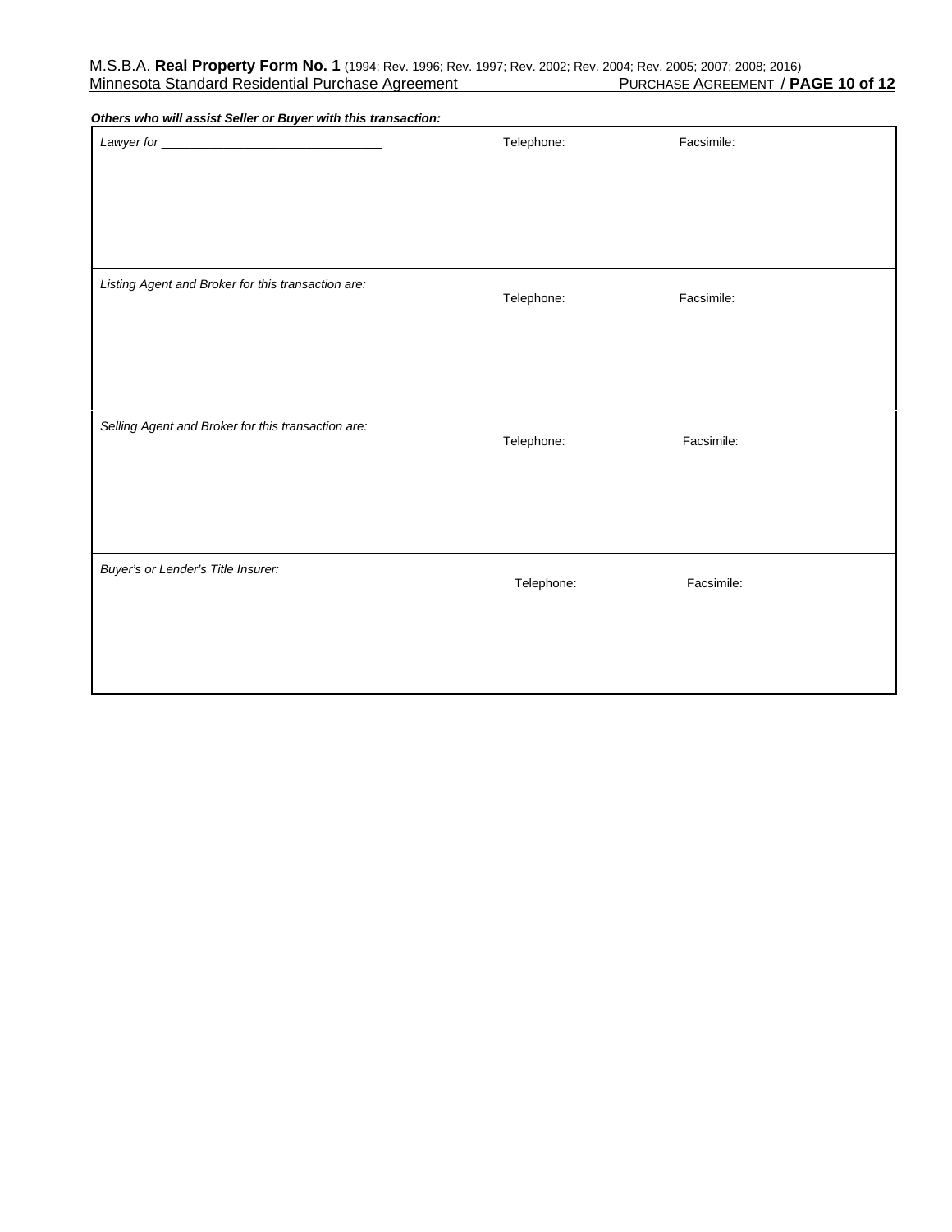| Others who will assist Seller or Buyer with this transaction: |            |            |
|---------------------------------------------------------------|------------|------------|
|                                                               | Telephone: | Facsimile: |
|                                                               |            |            |
|                                                               |            |            |
|                                                               |            |            |
|                                                               |            |            |
|                                                               |            |            |
| Listing Agent and Broker for this transaction are:            |            |            |
|                                                               | Telephone: | Facsimile: |
|                                                               |            |            |
|                                                               |            |            |
|                                                               |            |            |
|                                                               |            |            |
|                                                               |            |            |
| Selling Agent and Broker for this transaction are:            | Telephone: | Facsimile: |
|                                                               |            |            |
|                                                               |            |            |
|                                                               |            |            |
|                                                               |            |            |
|                                                               |            |            |
| Buyer's or Lender's Title Insurer:                            | Telephone: | Facsimile: |
|                                                               |            |            |
|                                                               |            |            |
|                                                               |            |            |
|                                                               |            |            |
|                                                               |            |            |